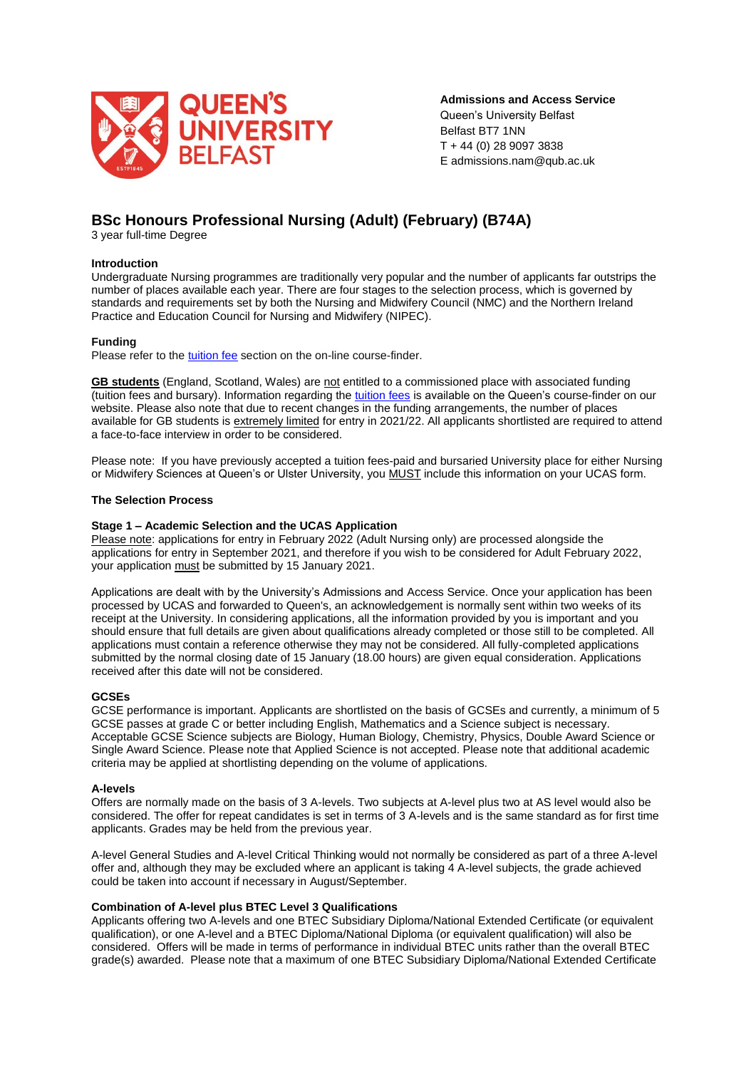

**Admissions and Access Service** Queen's University Belfast Belfast BT7 1NN T + 44 (0) 28 9097 3838 E admissions.nam@qub.ac.uk

# **BSc Honours Professional Nursing (Adult) (February) (B74A)**

3 year full-time Degree

## **Introduction**

Undergraduate Nursing programmes are traditionally very popular and the number of applicants far outstrips the number of places available each year. There are four stages to the selection process, which is governed by standards and requirements set by both the Nursing and Midwifery Council (NMC) and the Northern Ireland Practice and Education Council for Nursing and Midwifery (NIPEC).

# **Funding**

Please refer to the [tuition fee](https://www.qub.ac.uk/courses/undergraduate/professional-nursing-adult-nursing-bsc/#fees) section on the on-line course-finder.

**GB students** (England, Scotland, Wales) are not entitled to a commissioned place with associated funding (tuition fees and bursary). Information regarding the [tuition fees](https://www.qub.ac.uk/courses/undergraduate/professional-nursing-adult-nursing-bsc/#fees) is available on the Queen's course-finder on our website. Please also note that due to recent changes in the funding arrangements, the number of places available for GB students is extremely limited for entry in 2021/22. All applicants shortlisted are required to attend a face-to-face interview in order to be considered.

Please note: If you have previously accepted a tuition fees-paid and bursaried University place for either Nursing or Midwifery Sciences at Queen's or Ulster University, you MUST include this information on your UCAS form.

#### **The Selection Process**

#### **Stage 1 – Academic Selection and the UCAS Application**

Please note: applications for entry in February 2022 (Adult Nursing only) are processed alongside the applications for entry in September 2021, and therefore if you wish to be considered for Adult February 2022, your application must be submitted by 15 January 2021.

Applications are dealt with by the University's Admissions and Access Service. Once your application has been processed by UCAS and forwarded to Queen's, an acknowledgement is normally sent within two weeks of its receipt at the University. In considering applications, all the information provided by you is important and you should ensure that full details are given about qualifications already completed or those still to be completed. All applications must contain a reference otherwise they may not be considered. All fully-completed applications submitted by the normal closing date of 15 January (18.00 hours) are given equal consideration. Applications received after this date will not be considered.

## **GCSEs**

GCSE performance is important. Applicants are shortlisted on the basis of GCSEs and currently, a minimum of 5 GCSE passes at grade C or better including English, Mathematics and a Science subject is necessary. Acceptable GCSE Science subjects are Biology, Human Biology, Chemistry, Physics, Double Award Science or Single Award Science. Please note that Applied Science is not accepted. Please note that additional academic criteria may be applied at shortlisting depending on the volume of applications.

#### **A-levels**

Offers are normally made on the basis of 3 A-levels. Two subjects at A-level plus two at AS level would also be considered. The offer for repeat candidates is set in terms of 3 A-levels and is the same standard as for first time applicants. Grades may be held from the previous year.

A-level General Studies and A-level Critical Thinking would not normally be considered as part of a three A-level offer and, although they may be excluded where an applicant is taking 4 A-level subjects, the grade achieved could be taken into account if necessary in August/September.

#### **Combination of A-level plus BTEC Level 3 Qualifications**

Applicants offering two A-levels and one BTEC Subsidiary Diploma/National Extended Certificate (or equivalent qualification), or one A-level and a BTEC Diploma/National Diploma (or equivalent qualification) will also be considered. Offers will be made in terms of performance in individual BTEC units rather than the overall BTEC grade(s) awarded. Please note that a maximum of one BTEC Subsidiary Diploma/National Extended Certificate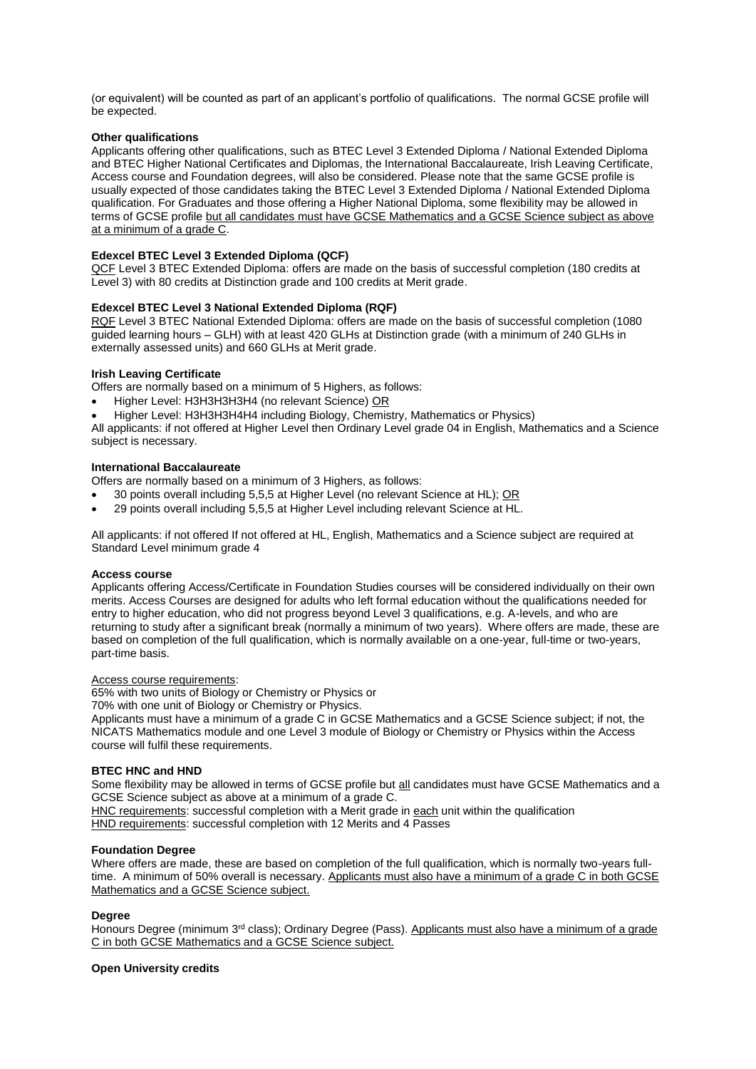(or equivalent) will be counted as part of an applicant's portfolio of qualifications. The normal GCSE profile will be expected.

### **Other qualifications**

Applicants offering other qualifications, such as BTEC Level 3 Extended Diploma / National Extended Diploma and BTEC Higher National Certificates and Diplomas, the International Baccalaureate, Irish Leaving Certificate, Access course and Foundation degrees, will also be considered. Please note that the same GCSE profile is usually expected of those candidates taking the BTEC Level 3 Extended Diploma / National Extended Diploma qualification. For Graduates and those offering a Higher National Diploma, some flexibility may be allowed in terms of GCSE profile but all candidates must have GCSE Mathematics and a GCSE Science subject as above at a minimum of a grade C.

# **Edexcel BTEC Level 3 Extended Diploma (QCF)**

QCF Level 3 BTEC Extended Diploma: offers are made on the basis of successful completion (180 credits at Level 3) with 80 credits at Distinction grade and 100 credits at Merit grade.

# **Edexcel BTEC Level 3 National Extended Diploma (RQF)**

RQF Level 3 BTEC National Extended Diploma: offers are made on the basis of successful completion (1080 guided learning hours – GLH) with at least 420 GLHs at Distinction grade (with a minimum of 240 GLHs in externally assessed units) and 660 GLHs at Merit grade.

# **Irish Leaving Certificate**

Offers are normally based on a minimum of 5 Highers, as follows:

- Higher Level: H3H3H3H3H4 (no relevant Science) OR
- Higher Level: H3H3H3H4H4 including Biology, Chemistry, Mathematics or Physics)

All applicants: if not offered at Higher Level then Ordinary Level grade 04 in English, Mathematics and a Science subject is necessary.

#### **International Baccalaureate**

Offers are normally based on a minimum of 3 Highers, as follows:

- 30 points overall including 5,5,5 at Higher Level (no relevant Science at HL); OR
- 29 points overall including 5,5,5 at Higher Level including relevant Science at HL.

All applicants: if not offered If not offered at HL, English, Mathematics and a Science subject are required at Standard Level minimum grade 4

#### **Access course**

Applicants offering Access/Certificate in Foundation Studies courses will be considered individually on their own merits. Access Courses are designed for adults who left formal education without the qualifications needed for entry to higher education, who did not progress beyond Level 3 qualifications, e.g. A-levels, and who are returning to study after a significant break (normally a minimum of two years). Where offers are made, these are based on completion of the full qualification, which is normally available on a one-year, full-time or two-years, part-time basis.

#### Access course requirements:

65% with two units of Biology or Chemistry or Physics or

70% with one unit of Biology or Chemistry or Physics.

Applicants must have a minimum of a grade C in GCSE Mathematics and a GCSE Science subject; if not, the NICATS Mathematics module and one Level 3 module of Biology or Chemistry or Physics within the Access course will fulfil these requirements.

#### **BTEC HNC and HND**

Some flexibility may be allowed in terms of GCSE profile but all candidates must have GCSE Mathematics and a GCSE Science subject as above at a minimum of a grade C.

HNC requirements: successful completion with a Merit grade in each unit within the qualification HND requirements: successful completion with 12 Merits and 4 Passes

#### **Foundation Degree**

Where offers are made, these are based on completion of the full qualification, which is normally two-years fulltime. A minimum of 50% overall is necessary. Applicants must also have a minimum of a grade C in both GCSE Mathematics and a GCSE Science subject.

#### **Degree**

Honours Degree (minimum 3<sup>rd</sup> class); Ordinary Degree (Pass). Applicants must also have a minimum of a grade C in both GCSE Mathematics and a GCSE Science subject.

#### **Open University credits**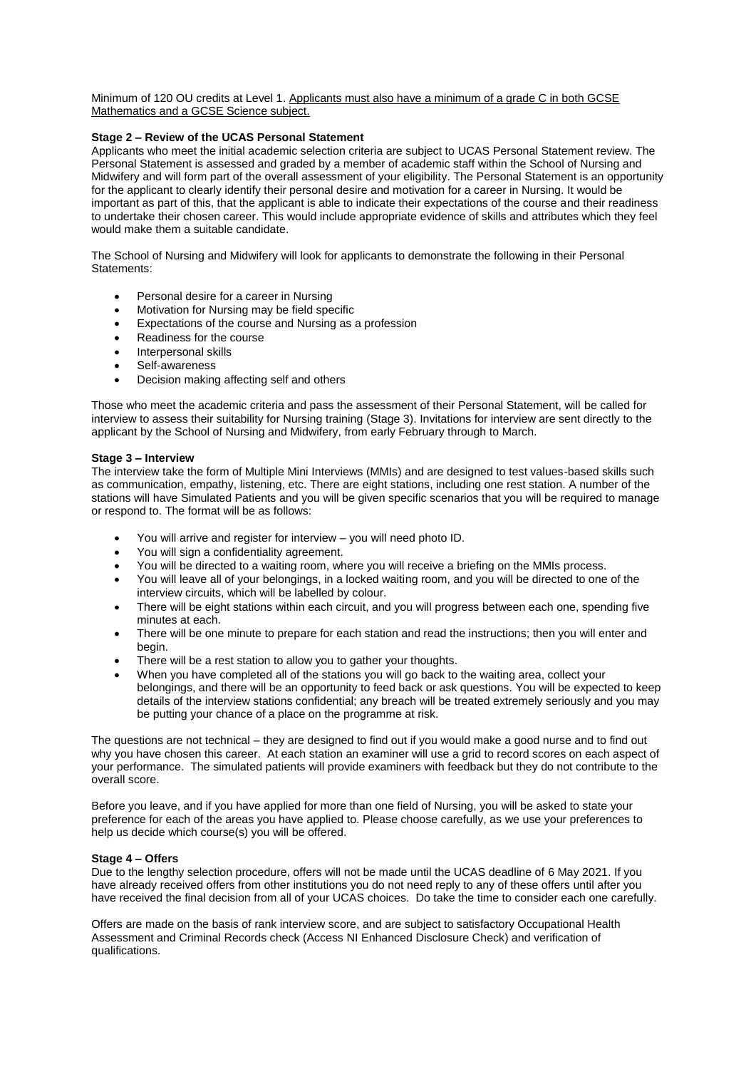Minimum of 120 OU credits at Level 1. Applicants must also have a minimum of a grade C in both GCSE Mathematics and a GCSE Science subject.

# **Stage 2 – Review of the UCAS Personal Statement**

Applicants who meet the initial academic selection criteria are subject to UCAS Personal Statement review. The Personal Statement is assessed and graded by a member of academic staff within the School of Nursing and Midwifery and will form part of the overall assessment of your eligibility. The Personal Statement is an opportunity for the applicant to clearly identify their personal desire and motivation for a career in Nursing. It would be important as part of this, that the applicant is able to indicate their expectations of the course and their readiness to undertake their chosen career. This would include appropriate evidence of skills and attributes which they feel would make them a suitable candidate.

The School of Nursing and Midwifery will look for applicants to demonstrate the following in their Personal Statements:

- Personal desire for a career in Nursing
- Motivation for Nursing may be field specific
- Expectations of the course and Nursing as a profession
- Readiness for the course
- Interpersonal skills
- Self-awareness
- Decision making affecting self and others

Those who meet the academic criteria and pass the assessment of their Personal Statement, will be called for interview to assess their suitability for Nursing training (Stage 3). Invitations for interview are sent directly to the applicant by the School of Nursing and Midwifery, from early February through to March.

#### **Stage 3 – Interview**

The interview take the form of Multiple Mini Interviews (MMIs) and are designed to test values-based skills such as communication, empathy, listening, etc. There are eight stations, including one rest station. A number of the stations will have Simulated Patients and you will be given specific scenarios that you will be required to manage or respond to. The format will be as follows:

- You will arrive and register for interview you will need photo ID.
- You will sign a confidentiality agreement.
- You will be directed to a waiting room, where you will receive a briefing on the MMIs process.
- You will leave all of your belongings, in a locked waiting room, and you will be directed to one of the interview circuits, which will be labelled by colour.
- There will be eight stations within each circuit, and you will progress between each one, spending five minutes at each.
- There will be one minute to prepare for each station and read the instructions; then you will enter and begin.
- There will be a rest station to allow you to gather your thoughts.
- When you have completed all of the stations you will go back to the waiting area, collect your belongings, and there will be an opportunity to feed back or ask questions. You will be expected to keep details of the interview stations confidential; any breach will be treated extremely seriously and you may be putting your chance of a place on the programme at risk.

The questions are not technical – they are designed to find out if you would make a good nurse and to find out why you have chosen this career. At each station an examiner will use a grid to record scores on each aspect of your performance. The simulated patients will provide examiners with feedback but they do not contribute to the overall score.

Before you leave, and if you have applied for more than one field of Nursing, you will be asked to state your preference for each of the areas you have applied to. Please choose carefully, as we use your preferences to help us decide which course(s) you will be offered.

#### **Stage 4 – Offers**

Due to the lengthy selection procedure, offers will not be made until the UCAS deadline of 6 May 2021. If you have already received offers from other institutions you do not need reply to any of these offers until after you have received the final decision from all of your UCAS choices. Do take the time to consider each one carefully.

Offers are made on the basis of rank interview score, and are subject to satisfactory Occupational Health Assessment and Criminal Records check (Access NI Enhanced Disclosure Check) and verification of qualifications.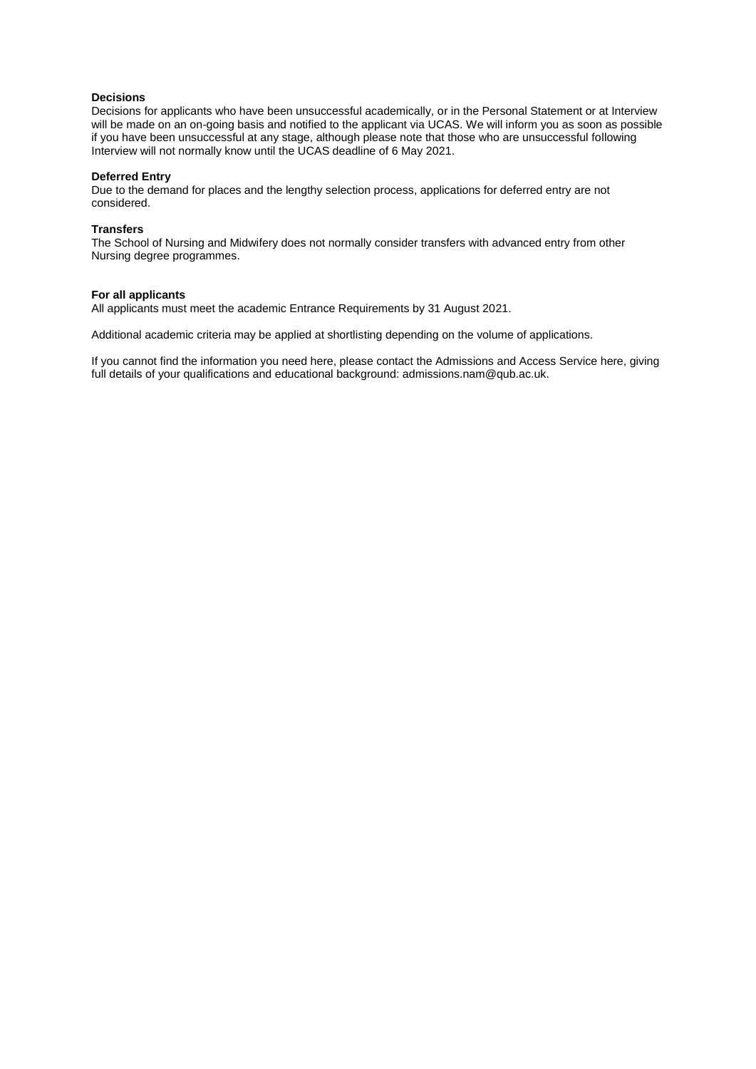# **Decisions**

Decisions for applicants who have been unsuccessful academically, or in the Personal Statement or at Interview will be made on an on-going basis and notified to the applicant via UCAS. We will inform you as soon as possible if you have been unsuccessful at any stage, although please note that those who are unsuccessful following Interview will not normally know until the UCAS deadline of 6 May 2021.

#### **Deferred Entry**

Due to the demand for places and the lengthy selection process, applications for deferred entry are not considered.

### **Transfers**

The School of Nursing and Midwifery does not normally consider transfers with advanced entry from other Nursing degree programmes.

#### **For all applicants**

All applicants must meet the academic Entrance Requirements by 31 August 2021.

Additional academic criteria may be applied at shortlisting depending on the volume of applications.

If you cannot find the information you need here, please contact the Admissions and Access Service here, giving full details of your qualifications and educational background: admissions.nam@qub.ac.uk.